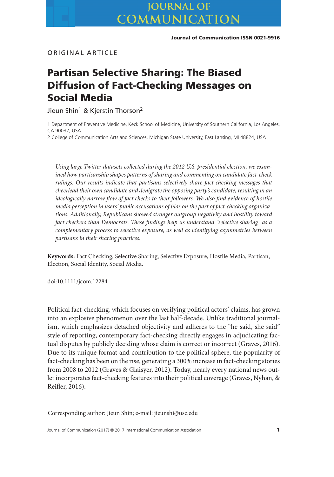# **JOURNAL OF** COMMUNICATION

**Journal of Communication ISSN 0021-9916**

ORIGINAL ARTICLE

# **Partisan Selective Sharing: The Biased Diffusion of Fact-Checking Messages on Social Media**

Jieun Shin<sup>1</sup> & Kierstin Thorson<sup>2</sup>

1 Department of Preventive Medicine, Keck School of Medicine, University of Southern California, Los Angeles, CA 90032, USA

2 College of Communication Arts and Sciences, Michigan State University, East Lansing, MI 48824, USA

*Using large Twitter datasets collected during the 2012 U.S. presidential election, we examined how partisanship shapes patterns of sharing and commenting on candidate fact-check rulings. Our results indicate that partisans selectively share fact-checking messages that cheerlead their own candidate and denigrate the opposing party's candidate, resulting in an ideologically narrow flow of fact checks to their followers. We also find evidence of hostile media perception in users' public accusations of bias on the part of fact-checking organizations. Additionally, Republicans showed stronger outgroup negativity and hostility toward fact checkers than Democrats. These findings help us understand "selective sharing" as a complementary process to selective exposure, as well as identifying asymmetries between partisans in their sharing practices.*

**Keywords:** Fact Checking, Selective Sharing, Selective Exposure, Hostile Media, Partisan, Election, Social Identity, Social Media.

doi:10.1111/jcom.12284

Political fact-checking, which focuses on verifying political actors' claims, has grown into an explosive phenomenon over the last half-decade. Unlike traditional journalism, which emphasizes detached objectivity and adheres to the "he said, she said" style of reporting, contemporary fact-checking directly engages in adjudicating factual disputes by publicly deciding whose claim is correct or incorrect (Graves, 2016). Due to its unique format and contribution to the political sphere, the popularity of fact-checking has been on the rise, generating a 300% increase in fact-checking stories from 2008 to 2012 (Graves & Glaisyer, 2012). Today, nearly every national news outlet incorporates fact-checking features into their political coverage (Graves, Nyhan, & Reifler, 2016).

Corresponding author: Jieun Shin; e-mail: jieunshi@usc.edu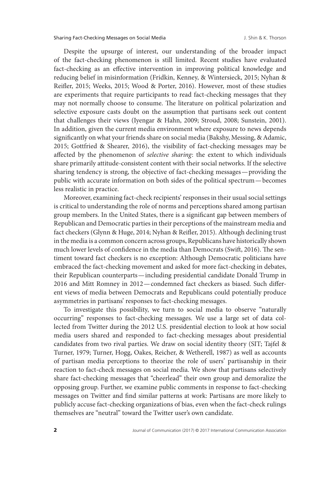Despite the upsurge of interest, our understanding of the broader impact of the fact-checking phenomenon is still limited. Recent studies have evaluated fact-checking as an effective intervention in improving political knowledge and reducing belief in misinformation (Fridkin, Kenney, & Wintersieck, 2015; Nyhan & Reifler, 2015; Weeks, 2015; Wood & Porter, 2016). However, most of these studies are experiments that require participants to read fact-checking messages that they may not normally choose to consume. The literature on political polarization and selective exposure casts doubt on the assumption that partisans seek out content that challenges their views (Iyengar & Hahn, 2009; Stroud, 2008; Sunstein, 2001). In addition, given the current media environment where exposure to news depends significantly on what your friends share on social media (Bakshy, Messing, & Adamic, 2015; Gottfried & Shearer, 2016), the visibility of fact-checking messages may be affected by the phenomenon of *selective sharing*: the extent to which individuals share primarily attitude-consistent content with their social networks. If the selective sharing tendency is strong, the objective of fact-checking messages—providing the public with accurate information on both sides of the political spectrum—becomes less realistic in practice.

Moreover, examining fact-check recipients' responses in their usual social settings is critical to understanding the role of norms and perceptions shared among partisan group members. In the United States, there is a significant gap between members of Republican and Democratic parties in their perceptions of the mainstream media and fact checkers (Glynn & Huge, 2014; Nyhan & Reifler, 2015). Although declining trust in the media is a common concern across groups, Republicans have historically shown much lower levels of confidence in the media than Democrats (Swift, 2016). The sentiment toward fact checkers is no exception: Although Democratic politicians have embraced the fact-checking movement and asked for more fact-checking in debates, their Republican counterparts—including presidential candidate Donald Trump in 2016 and Mitt Romney in 2012—condemned fact checkers as biased. Such different views of media between Democrats and Republicans could potentially produce asymmetries in partisans' responses to fact-checking messages.

To investigate this possibility, we turn to social media to observe "naturally occurring" responses to fact-checking messages. We use a large set of data collected from Twitter during the 2012 U.S. presidential election to look at how social media users shared and responded to fact-checking messages about presidential candidates from two rival parties. We draw on social identity theory (SIT; Tajfel & Turner, 1979; Turner, Hogg, Oakes, Reicher, & Wetherell, 1987) as well as accounts of partisan media perceptions to theorize the role of users' partisanship in their reaction to fact-check messages on social media. We show that partisans selectively share fact-checking messages that "cheerlead" their own group and demoralize the opposing group. Further, we examine public comments in response to fact-checking messages on Twitter and find similar patterns at work: Partisans are more likely to publicly accuse fact-checking organizations of bias, even when the fact-check rulings themselves are "neutral" toward the Twitter user's own candidate.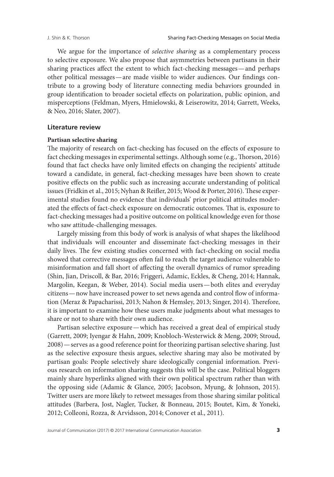We argue for the importance of *selective sharing* as a complementary process to selective exposure. We also propose that asymmetries between partisans in their sharing practices affect the extent to which fact-checking messages—and perhaps other political messages—are made visible to wider audiences. Our findings contribute to a growing body of literature connecting media behaviors grounded in group identification to broader societal effects on polarization, public opinion, and misperceptions (Feldman, Myers, Hmielowski, & Leiserowitz, 2014; Garrett, Weeks, & Neo, 2016; Slater, 2007).

## **Literature review**

# **Partisan selective sharing**

The majority of research on fact-checking has focused on the effects of exposure to fact checking messages in experimental settings. Although some (e.g., Thorson, 2016) found that fact checks have only limited effects on changing the recipients' attitude toward a candidate, in general, fact-checking messages have been shown to create positive effects on the public such as increasing accurate understanding of political issues (Fridkin et al., 2015; Nyhan & Reifler, 2015; Wood & Porter, 2016). These experimental studies found no evidence that individuals' prior political attitudes moderated the effects of fact-check exposure on democratic outcomes. That is, exposure to fact-checking messages had a positive outcome on political knowledge even for those who saw attitude-challenging messages.

Largely missing from this body of work is analysis of what shapes the likelihood that individuals will encounter and disseminate fact-checking messages in their daily lives. The few existing studies concerned with fact-checking on social media showed that corrective messages often fail to reach the target audience vulnerable to misinformation and fall short of affecting the overall dynamics of rumor spreading (Shin, Jian, Driscoll, & Bar, 2016; Friggeri, Adamic, Eckles, & Cheng, 2014; Hannak, Margolin, Keegan, & Weber, 2014). Social media users—both elites and everyday citizens—now have increased power to set news agenda and control flow of information (Meraz & Papacharissi, 2013; Nahon & Hemsley, 2013; Singer, 2014). Therefore, it is important to examine how these users make judgments about what messages to share or not to share with their own audience.

Partisan selective exposure—which has received a great deal of empirical study (Garrett, 2009; Iyengar & Hahn, 2009; Knobloch-Westerwick & Meng, 2009; Stroud, 2008)—serves as a good reference point for theorizing partisan selective sharing. Just as the selective exposure thesis argues, selective sharing may also be motivated by partisan goals: People selectively share ideologically congenial information. Previous research on information sharing suggests this will be the case. Political bloggers mainly share hyperlinks aligned with their own political spectrum rather than with the opposing side (Adamic & Glance, 2005; Jacobson, Myung, & Johnson, 2015). Twitter users are more likely to retweet messages from those sharing similar political attitudes (Barbera, Jost, Nagler, Tucker, & Bonneau, 2015; Boutet, Kim, & Yoneki, 2012; Colleoni, Rozza, & Arvidsson, 2014; Conover et al., 2011).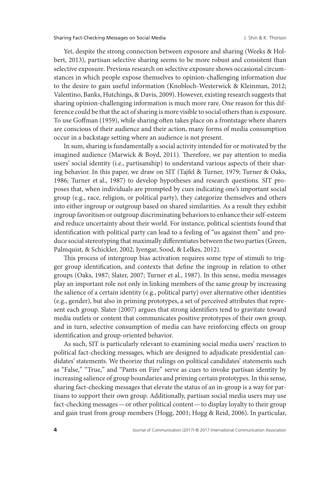Yet, despite the strong connection between exposure and sharing (Weeks & Holbert, 2013), partisan selective sharing seems to be more robust and consistent than selective exposure. Previous research on selective exposure shows occasional circumstances in which people expose themselves to opinion-challenging information due to the desire to gain useful information (Knobloch-Westerwick & Kleinman, 2012; Valentino, Banks, Hutchings, & Davis, 2009). However, existing research suggests that sharing opinion-challenging information is much more rare. One reason for this difference could be that the act of sharing is more visible to social others than is exposure. To use Goffman (1959), while sharing often takes place on a frontstage where sharers are conscious of their audience and their action, many forms of media consumption occur in a backstage setting where an audience is not present.

In sum, sharing is fundamentally a social activity intended for or motivated by the imagined audience (Marwick & Boyd, 2011). Therefore, we pay attention to media users' social identity (i.e., partisanship) to understand various aspects of their sharing behavior. In this paper, we draw on SIT (Tajfel & Turner, 1979; Turner & Oaks, 1986; Turner et al., 1987) to develop hypotheses and research questions. SIT proposes that, when individuals are prompted by cues indicating one's important social group (e.g., race, religion, or political party), they categorize themselves and others into either ingroup or outgroup based on shared similarities. As a result they exhibit ingroup favoritism or outgroup discriminating behaviors to enhance their self-esteem and reduce uncertainty about their world. For instance, political scientists found that identification with political party can lead to a feeling of "us against them" and produce social stereotyping that maximally differentiates between the two parties (Green, Palmquist, & Schickler, 2002; Iyengar, Sood, & Lelkes, 2012).

This process of intergroup bias activation requires some type of stimuli to trigger group identification, and contexts that define the ingroup in relation to other groups (Oaks, 1987; Slater, 2007; Turner et al., 1987). In this sense, media messages play an important role not only in linking members of the same group by increasing the salience of a certain identity (e.g., political party) over alternative other identities (e.g., gender), but also in priming prototypes, a set of perceived attributes that represent each group. Slater (2007) argues that strong identifiers tend to gravitate toward media outlets or content that communicates positive prototypes of their own group, and in turn, selective consumption of media can have reinforcing effects on group identification and group-oriented behavior.

As such, SIT is particularly relevant to examining social media users' reaction to political fact-checking messages, which are designed to adjudicate presidential candidates' statements. We theorize that rulings on political candidates' statements such as "False," "True," and "Pants on Fire" serve as cues to invoke partisan identity by increasing salience of group boundaries and priming certain prototypes. In this sense, sharing fact-checking messages that elevate the status of an in-group is a way for partisans to support their own group. Additionally, partisan social media users may use fact-checking messages—or other political content— to display loyalty to their group and gain trust from group members (Hogg, 2001; Hogg & Reid, 2006). In particular,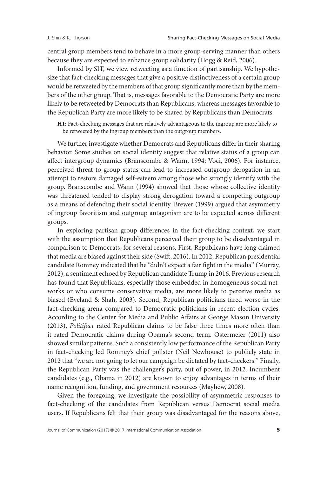central group members tend to behave in a more group-serving manner than others because they are expected to enhance group solidarity (Hogg & Reid, 2006).

Informed by SIT, we view retweeting as a function of partisanship. We hypothesize that fact-checking messages that give a positive distinctiveness of a certain group would be retweeted by the members of that group significantly more than by the members of the other group. That is, messages favorable to the Democratic Party are more likely to be retweeted by Democrats than Republicans, whereas messages favorable to the Republican Party are more likely to be shared by Republicans than Democrats.

**H1:** Fact-checking messages that are relatively advantageous to the ingroup are more likely to be retweeted by the ingroup members than the outgroup members.

We further investigate whether Democrats and Republicans differ in their sharing behavior. Some studies on social identity suggest that relative status of a group can affect intergroup dynamics (Branscombe & Wann, 1994; Voci, 2006). For instance, perceived threat to group status can lead to increased outgroup derogation in an attempt to restore damaged self-esteem among those who strongly identify with the group. Branscombe and Wann (1994) showed that those whose collective identity was threatened tended to display strong derogation toward a competing outgroup as a means of defending their social identity. Brewer (1999) argued that asymmetry of ingroup favoritism and outgroup antagonism are to be expected across different groups.

In exploring partisan group differences in the fact-checking context, we start with the assumption that Republicans perceived their group to be disadvantaged in comparison to Democrats, for several reasons. First, Republicans have long claimed that media are biased against their side (Swift, 2016). In 2012, Republican presidential candidate Romney indicated that he "didn't expect a fair fight in the media" (Murray, 2012), a sentiment echoed by Republican candidate Trump in 2016. Previous research has found that Republicans, especially those embedded in homogeneous social networks or who consume conservative media, are more likely to perceive media as biased (Eveland & Shah, 2003). Second, Republican politicians fared worse in the fact-checking arena compared to Democratic politicians in recent election cycles. According to the Center for Media and Public Affairs at George Mason University (2013), *Politifact* rated Republican claims to be false three times more often than it rated Democratic claims during Obama's second term. Ostermeier (2011) also showed similar patterns. Such a consistently low performance of the Republican Party in fact-checking led Romney's chief pollster (Neil Newhouse) to publicly state in 2012 that "we are not going to let our campaign be dictated by fact-checkers." Finally, the Republican Party was the challenger's party, out of power, in 2012. Incumbent candidates (e.g., Obama in 2012) are known to enjoy advantages in terms of their name recognition, funding, and government resources (Mayhew, 2008).

Given the foregoing, we investigate the possibility of asymmetric responses to fact-checking of the candidates from Republican versus Democrat social media users. If Republicans felt that their group was disadvantaged for the reasons above,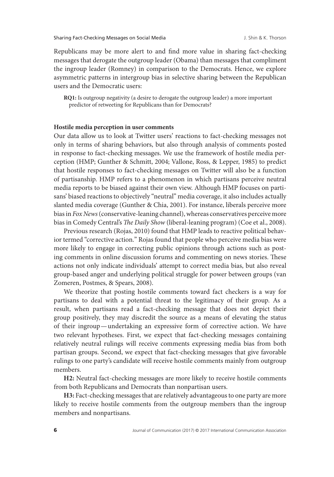Republicans may be more alert to and find more value in sharing fact-checking messages that derogate the outgroup leader (Obama) than messages that compliment the ingroup leader (Romney) in comparison to the Democrats. Hence, we explore asymmetric patterns in intergroup bias in selective sharing between the Republican users and the Democratic users:

**RQ1:** Is outgroup negativity (a desire to derogate the outgroup leader) a more important predictor of retweeting for Republicans than for Democrats?

#### **Hostile media perception in user comments**

Our data allow us to look at Twitter users' reactions to fact-checking messages not only in terms of sharing behaviors, but also through analysis of comments posted in response to fact-checking messages. We use the framework of hostile media perception (HMP; Gunther & Schmitt, 2004; Vallone, Ross, & Lepper, 1985) to predict that hostile responses to fact-checking messages on Twitter will also be a function of partisanship. HMP refers to a phenomenon in which partisans perceive neutral media reports to be biased against their own view. Although HMP focuses on partisans' biased reactions to objectively "neutral" media coverage, it also includes actually slanted media coverage (Gunther & Chia, 2001). For instance, liberals perceive more bias in *Fox News*(conservative-leaning channel), whereas conservatives perceive more bias in Comedy Central's *The Daily Show* (liberal-leaning program) (Coe et al., 2008).

Previous research (Rojas, 2010) found that HMP leads to reactive political behavior termed "corrective action." Rojas found that people who perceive media bias were more likely to engage in correcting public opinions through actions such as posting comments in online discussion forums and commenting on news stories. These actions not only indicate individuals' attempt to correct media bias, but also reveal group-based anger and underlying political struggle for power between groups (van Zomeren, Postmes, & Spears, 2008).

We theorize that posting hostile comments toward fact checkers is a way for partisans to deal with a potential threat to the legitimacy of their group. As a result, when partisans read a fact-checking message that does not depict their group positively, they may discredit the source as a means of elevating the status of their ingroup—undertaking an expressive form of corrective action. We have two relevant hypotheses. First, we expect that fact-checking messages containing relatively neutral rulings will receive comments expressing media bias from both partisan groups. Second, we expect that fact-checking messages that give favorable rulings to one party's candidate will receive hostile comments mainly from outgroup members.

**H2:** Neutral fact-checking messages are more likely to receive hostile comments from both Republicans and Democrats than nonpartisan users.

**H3:** Fact-checking messages that are relatively advantageous to one party are more likely to receive hostile comments from the outgroup members than the ingroup members and nonpartisans.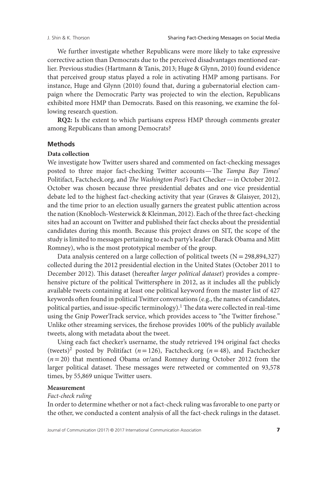We further investigate whether Republicans were more likely to take expressive corrective action than Democrats due to the perceived disadvantages mentioned earlier. Previous studies (Hartmann & Tanis, 2013; Huge & Glynn, 2010) found evidence that perceived group status played a role in activating HMP among partisans. For instance, Huge and Glynn (2010) found that, during a gubernatorial election campaign where the Democratic Party was projected to win the election, Republicans exhibited more HMP than Democrats. Based on this reasoning, we examine the following research question.

**RQ2:** Is the extent to which partisans express HMP through comments greater among Republicans than among Democrats?

# **Methods**

# **Data collection**

We investigate how Twitter users shared and commented on fact-checking messages posted to three major fact-checking Twitter accounts—The *Tampa Bay Times*' Politifact, Factcheck.org, and *The Washington Post's* Fact Checker—in October 2012. October was chosen because three presidential debates and one vice presidential debate led to the highest fact-checking activity that year (Graves & Glaisyer, 2012), and the time prior to an election usually garners the greatest public attention across the nation (Knobloch-Westerwick & Kleinman, 2012). Each of the three fact-checking sites had an account on Twitter and published their fact checks about the presidential candidates during this month. Because this project draws on SIT, the scope of the study is limited to messages pertaining to each party's leader (Barack Obama and Mitt Romney), who is the most prototypical member of the group.

Data analysis centered on a large collection of political tweets  $(N = 298,894,327)$ collected during the 2012 presidential election in the United States (October 2011 to December 2012). This dataset (hereafter *larger political dataset*) provides a comprehensive picture of the political Twittersphere in 2012, as it includes all the publicly available tweets containing at least one political keyword from the master list of 427 keywords often found in political Twitter conversations (e.g., the names of candidates, political parties, and issue-specific terminology).<sup>1</sup> The data were collected in real-time using the Gnip PowerTrack service, which provides access to "the Twitter firehose." Unlike other streaming services, the firehose provides 100% of the publicly available tweets, along with metadata about the tweet.

Using each fact checker's username, the study retrieved 194 original fact checks (tweets)<sup>2</sup> posted by Politifact ( $n=126$ ), Factcheck.org ( $n=48$ ), and Factchecker (*n*=20) that mentioned Obama or/and Romney during October 2012 from the larger political dataset. These messages were retweeted or commented on 93,578 times, by 55,869 unique Twitter users.

#### **Measurement**

#### *Fact-check ruling*

In order to determine whether or not a fact-check ruling was favorable to one party or the other, we conducted a content analysis of all the fact-check rulings in the dataset.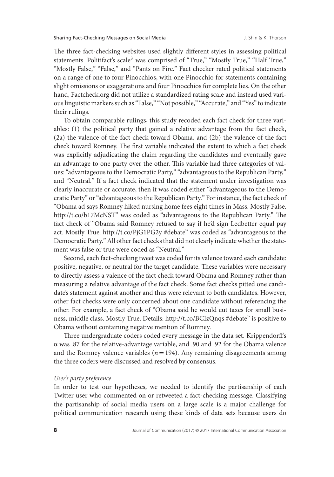The three fact-checking websites used slightly different styles in assessing political statements. Politifact's scale<sup>3</sup> was comprised of "True," "Mostly True," "Half True," "Mostly False," "False," and "Pants on Fire." Fact checker rated political statements on a range of one to four Pinocchios, with one Pinocchio for statements containing slight omissions or exaggerations and four Pinocchios for complete lies. On the other hand, Factcheck.org did not utilize a standardized rating scale and instead used various linguistic markers such as "False," "Not possible," "Accurate," and "Yes" to indicate their rulings.

To obtain comparable rulings, this study recoded each fact check for three variables: (1) the political party that gained a relative advantage from the fact check, (2a) the valence of the fact check toward Obama, and (2b) the valence of the fact check toward Romney. The first variable indicated the extent to which a fact check was explicitly adjudicating the claim regarding the candidates and eventually gave an advantage to one party over the other. This variable had three categories of values: "advantageous to the Democratic Party," "advantageous to the Republican Party," and "Neutral." If a fact check indicated that the statement under investigation was clearly inaccurate or accurate, then it was coded either "advantageous to the Democratic Party" or "advantageous to the Republican Party." For instance, the fact check of "Obama ad says Romney hiked nursing home fees eight times in Mass. Mostly False. [http://t.co/b17McNST"](http://t.co/b17McNST) was coded as "advantageous to the Republican Party." The fact check of "Obama said Romney refused to say if he'd sign Ledbetter equal pay act. Mostly True. http://t.co/PjG1PG2y #debate" was coded as "advantageous to the Democratic Party." All other fact checks that did not clearly indicate whether the statement was false or true were coded as "Neutral."

Second, each fact-checking tweet was coded for its valence toward each candidate: positive, negative, or neutral for the target candidate. These variables were necessary to directly assess a valence of the fact check toward Obama and Romney rather than measuring a relative advantage of the fact check. Some fact checks pitted one candidate's statement against another and thus were relevant to both candidates. However, other fact checks were only concerned about one candidate without referencing the other. For example, a fact check of "Obama said he would cut taxes for small business, middle class. Mostly True. Details: [http://t.co/BCIzQnqs #debate"](http://t.co/BCIzQnqs #debate) is positive to Obama without containing negative mention of Romney.

Three undergraduate coders coded every message in the data set. Krippendorff's α was .87 for the relative-advantage variable, and .90 and .92 for the Obama valence and the Romney valence variables ( $n = 194$ ). Any remaining disagreements among the three coders were discussed and resolved by consensus.

# *User's party preference*

In order to test our hypotheses, we needed to identify the partisanship of each Twitter user who commented on or retweeted a fact-checking message. Classifying the partisanship of social media users on a large scale is a major challenge for political communication research using these kinds of data sets because users do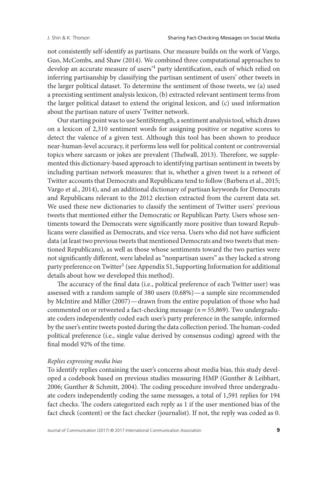not consistently self-identify as partisans. Our measure builds on the work of Vargo, Guo, McCombs, and Shaw (2014). We combined three computational approaches to develop an accurate measure of users'4 party identification, each of which relied on inferring partisanship by classifying the partisan sentiment of users' other tweets in the larger political dataset. To determine the sentiment of those tweets, we (a) used a preexisting sentiment analysis lexicon, (b) extracted relevant sentiment terms from the larger political dataset to extend the original lexicon, and (c) used information about the partisan nature of users' Twitter network.

Our starting point was to use SentiStrength, a sentiment analysis tool, which draws on a lexicon of 2,310 sentiment words for assigning positive or negative scores to detect the valence of a given text. Although this tool has been shown to produce near-human-level accuracy, it performs less well for political content or controversial topics where sarcasm or jokes are prevalent (Thelwall, 2013). Therefore, we supplemented this dictionary-based approach to identifying partisan sentiment in tweets by including partisan network measures: that is, whether a given tweet is a retweet of Twitter accounts that Democrats and Republicans tend to follow (Barbera et al., 2015; Vargo et al., 2014), and an additional dictionary of partisan keywords for Democrats and Republicans relevant to the 2012 election extracted from the current data set. We used these new dictionaries to classify the sentiment of Twitter users' previous tweets that mentioned either the Democratic or Republican Party. Users whose sentiments toward the Democrats were significantly more positive than toward Republicans were classified as Democrats, and vice versa. Users who did not have sufficient data (at least two previous tweets that mentioned Democrats and two tweets that mentioned Republicans), as well as those whose sentiments toward the two parties were not significantly different, were labeled as "nonpartisan users" as they lacked a strong party preference on Twitter<sup>5</sup> (see Appendix S1, Supporting Information for additional details about how we developed this method).

The accuracy of the final data (i.e., political preference of each Twitter user) was assessed with a random sample of 380 users (0.68%)—a sample size recommended by McIntire and Miller (2007)—drawn from the entire population of those who had commented on or retweeted a fact-checking message (*n*=55,869). Two undergraduate coders independently coded each user's party preference in the sample, informed by the user's entire tweets posted during the data collection period. The human-coded political preference (i.e., single value derived by consensus coding) agreed with the final model 92% of the time.

# *Replies expressing media bias*

To identify replies containing the user's concerns about media bias, this study developed a codebook based on previous studies measuring HMP (Gunther & Leibhart, 2006; Gunther & Schmitt, 2004). The coding procedure involved three undergraduate coders independently coding the same messages, a total of 1,591 replies for 194 fact checks. The coders categorized each reply as 1 if the user mentioned bias of the fact check (content) or the fact checker (journalist). If not, the reply was coded as 0.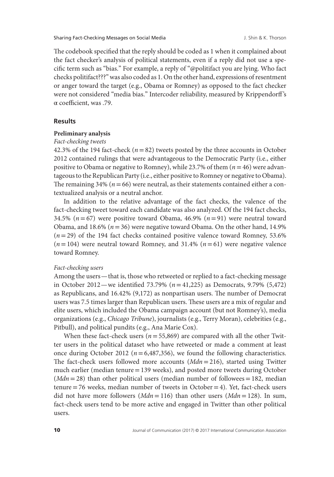The codebook specified that the reply should be coded as 1 when it complained about the fact checker's analysis of political statements, even if a reply did not use a specific term such as "bias." For example, a reply of "@politifact you are lying. Who fact checks politifact???" was also coded as 1. On the other hand, expressions of resentment or anger toward the target (e.g., Obama or Romney) as opposed to the fact checker were not considered "media bias." Intercoder reliability, measured by Krippendorff 's α coefficient, was .79.

## **Results**

#### **Preliminary analysis**

#### *Fact-checking tweets*

42.3% of the 194 fact-check  $(n=82)$  tweets posted by the three accounts in October 2012 contained rulings that were advantageous to the Democratic Party (i.e., either positive to Obama or negative to Romney), while 23.7% of them (*n*=46) were advantageous to the Republican Party (i.e., either positive to Romney or negative to Obama). The remaining  $34\%$  ( $n=66$ ) were neutral, as their statements contained either a contextualized analysis or a neutral anchor.

In addition to the relative advantage of the fact checks, the valence of the fact-checking tweet toward each candidate was also analyzed. Of the 194 fact checks, 34.5% (*n*=67) were positive toward Obama, 46.9% (*n*=91) were neutral toward Obama, and 18.6% ( $n = 36$ ) were negative toward Obama. On the other hand, 14.9% (*n*=29) of the 194 fact checks contained positive valence toward Romney, 53.6% (*n*=104) were neutral toward Romney, and 31.4% (*n*=61) were negative valence toward Romney.

# *Fact-checking users*

Among the users— that is, those who retweeted or replied to a fact-checking message in October 2012—we identified 73.79% (*n*=41,225) as Democrats, 9.79% (5,472) as Republicans, and 16.42% (9,172) as nonpartisan users. The number of Democrat users was 7.5 times larger than Republican users. These users are a mix of regular and elite users, which included the Obama campaign account (but not Romney's), media organizations (e.g., *Chicago Tribune*), journalists (e.g., Terry Moran), celebrities (e.g., Pitbull), and political pundits (e.g., Ana Marie Cox).

When these fact-check users ( $n=55,869$ ) are compared with all the other Twitter users in the political dataset who have retweeted or made a comment at least once during October 2012 ( $n = 6,487,356$ ), we found the following characteristics. The fact-check users followed more accounts (*Mdn*=216), started using Twitter much earlier (median tenure=139 weeks), and posted more tweets during October (*Mdn* = 28) than other political users (median number of followees = 182, median tenure  $=76$  weeks, median number of tweets in October  $=4$ ). Yet, fact-check users did not have more followers (*Mdn*=116) than other users (*Mdn*=128). In sum, fact-check users tend to be more active and engaged in Twitter than other political users.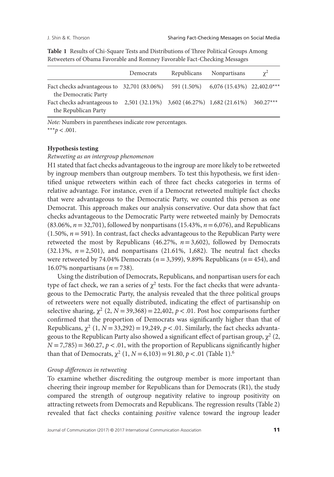| Retweeters of Obama Favorable and Romney Favorable Fact-Checking Messages          |           |  |                          |          |  |
|------------------------------------------------------------------------------------|-----------|--|--------------------------|----------|--|
|                                                                                    | Democrats |  | Republicans Nonpartisans | $\chi^2$ |  |
| Fact checks advantageous to 32,701 (83.06%) 591 (1.50%) 6,076 (15.43%) 22,402.0*** |           |  |                          |          |  |

Fact checks advantageous to 2,501 (32.13%) 3,602 (46.27%) 1,682 (21.61%) 360.27\*\*\*

**Table 1** Results of Chi-Square Tests and Distributions of Three Political Groups Among Retweeters of Obama Favorable and Romney Favorable Fact-Checking M

*Note:* Numbers in parentheses indicate row percentages. \*\*\**p<*.001.

# **Hypothesis testing**

the Democratic Party

the Republican Party

*Retweeting as an intergroup phenomenon*

H1 stated that fact checks advantageous to the ingroup are more likely to be retweeted by ingroup members than outgroup members. To test this hypothesis, we first identified unique retweeters within each of three fact checks categories in terms of relative advantage. For instance, even if a Democrat retweeted multiple fact checks that were advantageous to the Democratic Party, we counted this person as one Democrat. This approach makes our analysis conservative. Our data show that fact checks advantageous to the Democratic Party were retweeted mainly by Democrats (83.06%, *n*=32,701), followed by nonpartisans (15.43%, *n*=6,076), and Republicans  $(1.50\%, n = 591)$ . In contrast, fact checks advantageous to the Republican Party were retweeted the most by Republicans (46.27%,  $n = 3,602$ ), followed by Democrats (32.13%, *n*=2,501), and nonpartisans (21.61%, 1,682). The neutral fact checks were retweeted by 74.04% Democrats (*n*=3,399), 9.89% Republicans (*n*=454), and 16.07% nonpartisans (*n*=738).

Using the distribution of Democrats, Republicans, and nonpartisan users for each type of fact check, we ran a series of  $\chi^2$  tests. For the fact checks that were advantageous to the Democratic Party, the analysis revealed that the three political groups of retweeters were not equally distributed, indicating the effect of partisanship on selective sharing,  $\chi^2$  (2, *N* = 39,368) = 22,402, *p* < .01. Post hoc comparisons further confirmed that the proportion of Democrats was significantly higher than that of Republicans,  $\chi^2$  (1, *N* = 33,292) = 19,249, *p* < .01. Similarly, the fact checks advantageous to the Republican Party also showed a significant effect of partisan group,  $\chi^2$  (2,  $N = 7,785$  = 360.27,  $p < 0.01$ , with the proportion of Republicans significantly higher than that of Democrats,  $\chi^2$  (1, *N* = 6,103) = 91.80, *p* < .01 (Table 1).<sup>6</sup>

# *Group differences in retweeting*

To examine whether discrediting the outgroup member is more important than cheering their ingroup member for Republicans than for Democrats (R1), the study compared the strength of outgroup negativity relative to ingroup positivity on attracting retweets from Democrats and Republicans. The regression results (Table 2) revealed that fact checks containing *positive* valence toward the ingroup leader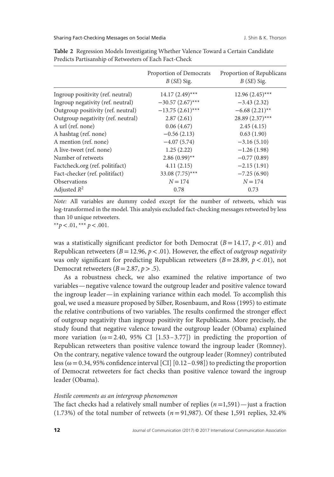Sharing Fact-Checking Messages on Social Media J. Shin & K. Thorson

|                                    | Proportion of Democrats<br>$B(SE)$ Sig. | Proportion of Republicans<br>$B(SE)$ Sig. |
|------------------------------------|-----------------------------------------|-------------------------------------------|
| Ingroup positivity (ref. neutral)  | $14.17(2.49)$ ***                       | $12.96(2.45)$ ***                         |
| Ingroup negativity (ref. neutral)  | $-30.57(2.67)$ ***                      | $-3.43(2.32)$                             |
| Outgroup positivity (ref. neutral) | $-13.75(2.61)$ ***                      | $-6.68(2.21)$ **                          |
| Outgroup negativity (ref. neutral) | 2.87(2.61)                              | 28.89 (2.37)***                           |
| A url (ref. none)                  | 0.06(4.67)                              | 2.45(4.15)                                |
| A hashtag (ref. none)              | $-0.56(2.13)$                           | 0.63(1.90)                                |
| A mention (ref. none)              | $-4.07(5.74)$                           | $-3.16(5.10)$                             |
| A live-tweet (ref. none)           | 1.25(2.22)                              | $-1.26(1.98)$                             |
| Number of retweets                 | $2.86(0.99)$ **                         | $-0.77(0.89)$                             |
| Factcheck.org (ref. politifact)    | 4.11(2.15)                              | $-2.15(1.91)$                             |
| Fact-checker (ref. politifact)     | 33.08 (7.75)***                         | $-7.25(6.90)$                             |
| <b>Observations</b>                | $N = 174$                               | $N = 174$                                 |
| Adjusted $R^2$                     | 0.78                                    | 0.73                                      |

**Table 2** Regression Models Investigating Whether Valence Toward a Certain Candidate Predicts Partisanship of Retweeters of Each Fact-Check

*Note:* All variables are dummy coded except for the number of retweets, which was log-transformed in the model. This analysis excluded fact-checking messages retweeted by less than 10 unique retweeters.

\*\* $p < .01$ , \*\*\*  $p < .001$ .

was a statistically significant predictor for both Democrat ( $B = 14.17$ ,  $p < .01$ ) and Republican retweeters (*B*=12.96, *p<*.01). However, the effect of *outgroup negativity* was only significant for predicting Republican retweeters (*B*=28.89, *p<*.01), not Democrat retweeters  $(B = 2.87, p > .5)$ .

As a robustness check, we also examined the relative importance of two variables—negative valence toward the outgroup leader and positive valence toward the ingroup leader—in explaining variance within each model. To accomplish this goal, we used a measure proposed by Silber, Rosenbaum, and Ross (1995) to estimate the relative contributions of two variables. The results confirmed the stronger effect of outgroup negativity than ingroup positivity for Republicans. More precisely, the study found that negative valence toward the outgroup leader (Obama) explained more variation ( $\omega$  = 2.40, 95% CI [1.53 – 3.77]) in predicting the proportion of Republican retweeters than positive valence toward the ingroup leader (Romney). On the contrary, negative valence toward the outgroup leader (Romney) contributed less ( $\omega$  = 0.34, 95% confidence interval [CI] [0.12 – 0.98]) to predicting the proportion of Democrat retweeters for fact checks than positive valence toward the ingroup leader (Obama).

#### *Hostile comments as an intergroup phenomenon*

The fact checks had a relatively small number of replies (*n*=1,591)—just a fraction (1.73%) of the total number of retweets (*n*=91,987). Of these 1,591 replies, 32.4%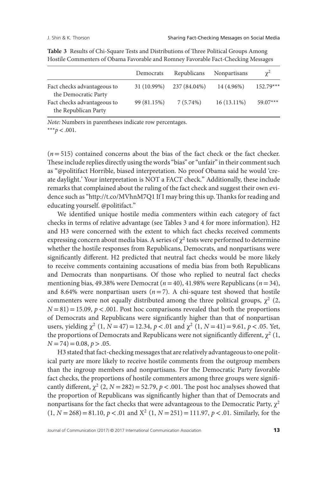|                                                     | Democrats   | Republicans  | <b>Nonpartisans</b> | $\chi^2$    |
|-----------------------------------------------------|-------------|--------------|---------------------|-------------|
| Fact checks advantageous to<br>the Democratic Party | 31 (10.99%) | 237 (84.04%) | 14 (4.96%)          | $152.79***$ |
| Fact checks advantageous to<br>the Republican Party | 99 (81.15%) | $7(5.74\%)$  | $16(13.11\%)$       | $59.07***$  |

**Table 3** Results of Chi-Square Tests and Distributions of Three Political Groups Among Hostile Commenters of Obama Favorable and Romney Favorable Fact-Checking Messages

*Note:* Numbers in parentheses indicate row percentages. \*\*\**p<*.001.

 $(n=515)$  contained concerns about the bias of the fact check or the fact checker. These include replies directly using the words "bias" or "unfair" in their comment such as "@politifact Horrible, biased interpretation. No proof Obama said he would 'create daylight.' Your interpretation is NOT a FACT check." Additionally, these include remarks that complained about the ruling of the fact check and suggest their own evidence such as ["http://t.co/MVhnM7Q1](http://t.co/MVhnM7Q1) If I may bring this up. Thanks for reading and educating yourself. @politifact."

We identified unique hostile media commenters within each category of fact checks in terms of relative advantage (see Tables 3 and 4 for more information). H2 and H3 were concerned with the extent to which fact checks received comments expressing concern about media bias. A series of  $\chi^2$  tests were performed to determine whether the hostile responses from Republicans, Democrats, and nonpartisans were significantly different. H2 predicted that neutral fact checks would be more likely to receive comments containing accusations of media bias from both Republicans and Democrats than nonpartisans. Of those who replied to neutral fact checks mentioning bias, 49.38% were Democrat (*n*=40), 41.98% were Republicans (*n*=34), and 8.64% were nonpartisan users  $(n=7)$ . A chi-square test showed that hostile commenters were not equally distributed among the three political groups,  $\chi^2$  (2,  $N = 81$  = 15.09,  $p < .001$ . Post hoc comparisons revealed that both the proportions of Democrats and Republicans were significantly higher than that of nonpartisan users, yielding  $\chi^2$  (1, *N* = 47) = 12.34, *p* < .01 and  $\chi^2$  (1, *N* = 41) = 9.61, *p* < .05. Yet, the proportions of Democrats and Republicans were not significantly different,  $\chi^2$  (1, *N* =74)=0.08, *p>*.05.

H3 stated that fact-checking messages that are relatively advantageous to one political party are more likely to receive hostile comments from the outgroup members than the ingroup members and nonpartisans. For the Democratic Party favorable fact checks, the proportions of hostile commenters among three groups were significantly different,  $\chi^2$  (2, *N* = 282) = 52.79, *p* < .001. The post hoc analyses showed that the proportion of Republicans was significantly higher than that of Democrats and nonpartisans for the fact checks that were advantageous to the Democratic Party,  $\chi^2$  $(1, N = 268) = 81.10, p < .01$  and  $X^2$   $(1, N = 251) = 111.97, p < .01$ . Similarly, for the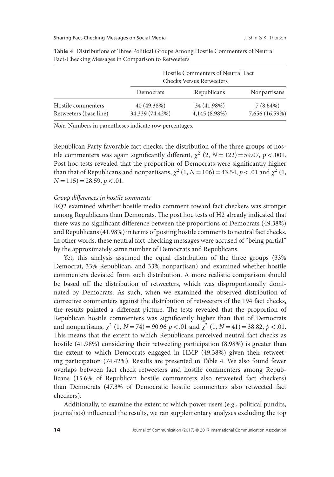|                                              |                                | Hostile Commenters of Neutral Fact<br><b>Checks Versus Retweeters</b> |                               |  |  |
|----------------------------------------------|--------------------------------|-----------------------------------------------------------------------|-------------------------------|--|--|
|                                              | Democrats                      | Republicans                                                           | Nonpartisans                  |  |  |
| Hostile commenters<br>Retweeters (base line) | 40 (49.38%)<br>34,339 (74.42%) | 34 (41.98%)<br>4,145 (8.98%)                                          | $7(8.64\%)$<br>7,656 (16.59%) |  |  |

**Table 4** Distributions of Three Political Groups Among Hostile Commenters of Neutral Fact-Checking Messages in Comparison to Retweeters

*Note:* Numbers in parentheses indicate row percentages.

Republican Party favorable fact checks, the distribution of the three groups of hostile commenters was again significantly different,  $\chi^2$  (2,  $N = 122$ ) = 59.07,  $p < .001$ . Post hoc tests revealed that the proportion of Democrats were significantly higher than that of Republicans and nonpartisans,  $\chi^2$  (1, *N* = 106) = 43.54, *p* < .01 and  $\chi^2$  (1,  $N = 115$ ) = 28.59,  $p < .01$ .

# *Group differences in hostile comments*

RQ2 examined whether hostile media comment toward fact checkers was stronger among Republicans than Democrats. The post hoc tests of H2 already indicated that there was no significant difference between the proportions of Democrats (49.38%) and Republicans (41.98%) in terms of posting hostile comments to neutral fact checks. In other words, these neutral fact-checking messages were accused of "being partial" by the approximately same number of Democrats and Republicans.

Yet, this analysis assumed the equal distribution of the three groups (33% Democrat, 33% Republican, and 33% nonpartisan) and examined whether hostile commenters deviated from such distribution. A more realistic comparison should be based off the distribution of retweeters, which was disproportionally dominated by Democrats. As such, when we examined the observed distribution of corrective commenters against the distribution of retweeters of the 194 fact checks, the results painted a different picture. The tests revealed that the proportion of Republican hostile commenters was significantly higher than that of Democrats and nonpartisans,  $\chi^2$  (1,  $N = 74$ ) = 90.96  $p < .01$  and  $\chi^2$  (1,  $N = 41$ ) = 38.82,  $p < .01$ . This means that the extent to which Republicans perceived neutral fact checks as hostile (41.98%) considering their retweeting participation (8.98%) is greater than the extent to which Democrats engaged in HMP (49.38%) given their retweeting participation (74.42%). Results are presented in Table 4. We also found fewer overlaps between fact check retweeters and hostile commenters among Republicans (15.6% of Republican hostile commenters also retweeted fact checkers) than Democrats (47.3% of Democratic hostile commenters also retweeted fact checkers).

Additionally, to examine the extent to which power users (e.g., political pundits, journalists) influenced the results, we ran supplementary analyses excluding the top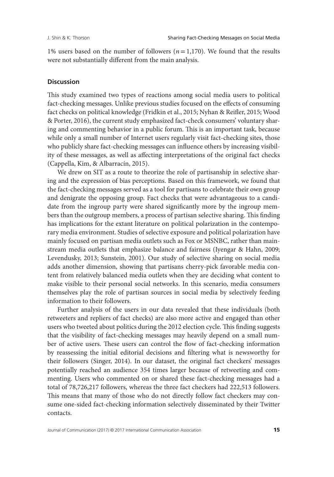1% users based on the number of followers (*n*=1,170). We found that the results were not substantially different from the main analysis.

### **Discussion**

This study examined two types of reactions among social media users to political fact-checking messages. Unlike previous studies focused on the effects of consuming fact checks on political knowledge (Fridkin et al., 2015; Nyhan & Reifler, 2015; Wood & Porter, 2016), the current study emphasized fact-check consumers' voluntary sharing and commenting behavior in a public forum. This is an important task, because while only a small number of Internet users regularly visit fact-checking sites, those who publicly share fact-checking messages can influence others by increasing visibility of these messages, as well as affecting interpretations of the original fact checks (Cappella, Kim, & Albarracín, 2015).

We drew on SIT as a route to theorize the role of partisanship in selective sharing and the expression of bias perceptions. Based on this framework, we found that the fact-checking messages served as a tool for partisans to celebrate their own group and denigrate the opposing group. Fact checks that were advantageous to a candidate from the ingroup party were shared significantly more by the ingroup members than the outgroup members, a process of partisan selective sharing. This finding has implications for the extant literature on political polarization in the contemporary media environment. Studies of selective exposure and political polarization have mainly focused on partisan media outlets such as Fox or MSNBC, rather than mainstream media outlets that emphasize balance and fairness (Iyengar & Hahn, 2009; Levendusky, 2013; Sunstein, 2001). Our study of selective sharing on social media adds another dimension, showing that partisans cherry-pick favorable media content from relatively balanced media outlets when they are deciding what content to make visible to their personal social networks. In this scenario, media consumers themselves play the role of partisan sources in social media by selectively feeding information to their followers.

Further analysis of the users in our data revealed that these individuals (both retweeters and repliers of fact checks) are also more active and engaged than other users who tweeted about politics during the 2012 election cycle. This finding suggests that the visibility of fact-checking messages may heavily depend on a small number of active users. These users can control the flow of fact-checking information by reassessing the initial editorial decisions and filtering what is newsworthy for their followers (Singer, 2014). In our dataset, the original fact checkers' messages potentially reached an audience 354 times larger because of retweeting and commenting. Users who commented on or shared these fact-checking messages had a total of 78,726,217 followers, whereas the three fact checkers had 222,513 followers. This means that many of those who do not directly follow fact checkers may consume one-sided fact-checking information selectively disseminated by their Twitter contacts.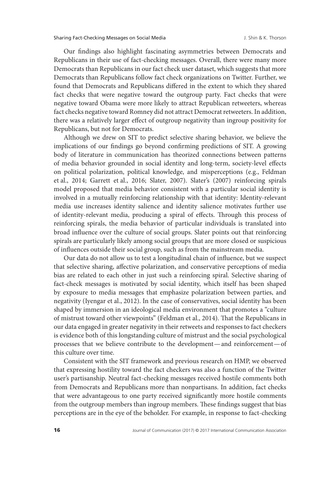Our findings also highlight fascinating asymmetries between Democrats and Republicans in their use of fact-checking messages. Overall, there were many more Democrats than Republicans in our fact check user dataset, which suggests that more Democrats than Republicans follow fact check organizations on Twitter. Further, we found that Democrats and Republicans differed in the extent to which they shared fact checks that were negative toward the outgroup party. Fact checks that were negative toward Obama were more likely to attract Republican retweeters, whereas fact checks negative toward Romney did not attract Democrat retweeters. In addition, there was a relatively larger effect of outgroup negativity than ingroup positivity for Republicans, but not for Democrats.

Although we drew on SIT to predict selective sharing behavior, we believe the implications of our findings go beyond confirming predictions of SIT. A growing body of literature in communication has theorized connections between patterns of media behavior grounded in social identity and long-term, society-level effects on political polarization, political knowledge, and misperceptions (e.g., Feldman et al., 2014; Garrett et al., 2016; Slater, 2007). Slater's (2007) reinforcing spirals model proposed that media behavior consistent with a particular social identity is involved in a mutually reinforcing relationship with that identity: Identity-relevant media use increases identity salience and identity salience motivates further use of identity-relevant media, producing a spiral of effects. Through this process of reinforcing spirals, the media behavior of particular individuals is translated into broad influence over the culture of social groups. Slater points out that reinforcing spirals are particularly likely among social groups that are more closed or suspicious of influences outside their social group, such as from the mainstream media.

Our data do not allow us to test a longitudinal chain of influence, but we suspect that selective sharing, affective polarization, and conservative perceptions of media bias are related to each other in just such a reinforcing spiral. Selective sharing of fact-check messages is motivated by social identity, which itself has been shaped by exposure to media messages that emphasize polarization between parties, and negativity (Iyengar et al., 2012). In the case of conservatives, social identity has been shaped by immersion in an ideological media environment that promotes a "culture of mistrust toward other viewpoints" (Feldman et al., 2014). That the Republicans in our data engaged in greater negativity in their retweets and responses to fact checkers is evidence both of this longstanding culture of mistrust and the social psychological processes that we believe contribute to the development—and reinforcement—of this culture over time.

Consistent with the SIT framework and previous research on HMP, we observed that expressing hostility toward the fact checkers was also a function of the Twitter user's partisanship. Neutral fact-checking messages received hostile comments both from Democrats and Republicans more than nonpartisans. In addition, fact checks that were advantageous to one party received significantly more hostile comments from the outgroup members than ingroup members. These findings suggest that bias perceptions are in the eye of the beholder. For example, in response to fact-checking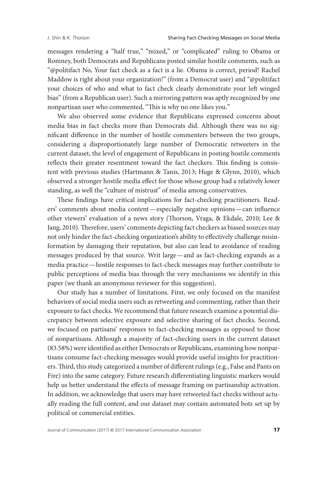messages rendering a "half true," "mixed," or "complicated" ruling to Obama or Romney, both Democrats and Republicans posted similar hostile comments, such as "@politifact No, Your fact check as a fact is a lie. Obama is correct, period! Rachel Maddow is right about your organization!" (from a Democrat user) and "@politifact your choices of who and what to fact check clearly demonstrate your left winged bias" (from a Republican user). Such a mirroring pattern was aptly recognized by one nonpartisan user who commented, "This is why no one likes you."

We also observed some evidence that Republicans expressed concerns about media bias in fact checks more than Democrats did. Although there was no significant difference in the number of hostile commenters between the two groups, considering a disproportionately large number of Democratic retweeters in the current dataset, the level of engagement of Republicans in posting hostile comments reflects their greater resentment toward the fact checkers. This finding is consistent with previous studies (Hartmann & Tanis, 2013; Huge & Glynn, 2010), which observed a stronger hostile media effect for those whose group had a relatively lower standing, as well the "culture of mistrust" of media among conservatives.

These findings have critical implications for fact-checking practitioners. Readers' comments about media content—especially negative opinions—can influence other viewers' evaluation of a news story (Thorson, Vraga, & Ekdale, 2010; Lee & Jang, 2010). Therefore, users' comments depicting fact checkers as biased sources may not only hinder the fact-checking organization's ability to effectively challenge misinformation by damaging their reputation, but also can lead to avoidance of reading messages produced by that source. Writ large—and as fact-checking expands as a media practice—hostile responses to fact-check messages may further contribute to public perceptions of media bias through the very mechanisms we identify in this paper (we thank an anonymous reviewer for this suggestion).

Our study has a number of limitations. First, we only focused on the manifest behaviors of social media users such as retweeting and commenting, rather than their exposure to fact checks. We recommend that future research examine a potential discrepancy between selective exposure and selective sharing of fact checks. Second, we focused on partisans' responses to fact-checking messages as opposed to those of nonpartisans. Although a majority of fact-checking users in the current dataset (83.58%) were identified as either Democrats or Republicans, examining how nonpartisans consume fact-checking messages would provide useful insights for practitioners.Third, this study categorized a number of different rulings (e.g., False and Pants on Fire) into the same category. Future research differentiating linguistic markers would help us better understand the effects of message framing on partisanship activation. In addition, we acknowledge that users may have retweeted fact checks without actually reading the full content, and our dataset may contain automated bots set up by political or commercial entities.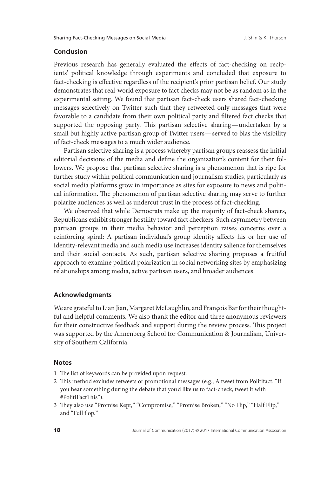# **Conclusion**

Previous research has generally evaluated the effects of fact-checking on recipients' political knowledge through experiments and concluded that exposure to fact-checking is effective regardless of the recipient's prior partisan belief. Our study demonstrates that real-world exposure to fact checks may not be as random as in the experimental setting. We found that partisan fact-check users shared fact-checking messages selectively on Twitter such that they retweeted only messages that were favorable to a candidate from their own political party and filtered fact checks that supported the opposing party. This partisan selective sharing—undertaken by a small but highly active partisan group of Twitter users—served to bias the visibility of fact-check messages to a much wider audience.

Partisan selective sharing is a process whereby partisan groups reassess the initial editorial decisions of the media and define the organization's content for their followers. We propose that partisan selective sharing is a phenomenon that is ripe for further study within political communication and journalism studies, particularly as social media platforms grow in importance as sites for exposure to news and political information. The phenomenon of partisan selective sharing may serve to further polarize audiences as well as undercut trust in the process of fact-checking.

We observed that while Democrats make up the majority of fact-check sharers, Republicans exhibit stronger hostility toward fact checkers. Such asymmetry between partisan groups in their media behavior and perception raises concerns over a reinforcing spiral: A partisan individual's group identity affects his or her use of identity-relevant media and such media use increases identity salience for themselves and their social contacts. As such, partisan selective sharing proposes a fruitful approach to examine political polarization in social networking sites by emphasizing relationships among media, active partisan users, and broader audiences.

# **Acknowledgments**

We are grateful to Lian Jian, Margaret McLaughlin, and François Bar for their thoughtful and helpful comments. We also thank the editor and three anonymous reviewers for their constructive feedback and support during the review process. This project was supported by the Annenberg School for Communication & Journalism, University of Southern California.

# **Notes**

- 1 The list of keywords can be provided upon request.
- 2 This method excludes retweets or promotional messages (e.g., A tweet from Politifact: "If you hear something during the debate that you'd like us to fact-check, tweet it with #PolitiFactThis").
- 3 They also use "Promise Kept," "Compromise," "Promise Broken," "No Flip," "Half Flip," and "Full flop."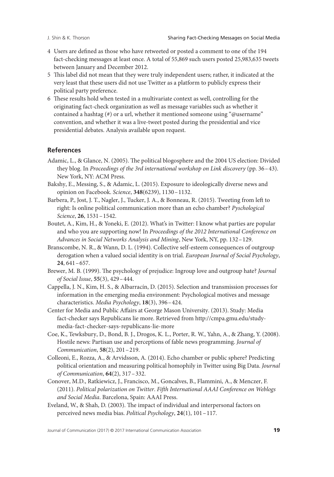- 4 Users are defined as those who have retweeted or posted a comment to one of the 194 fact-checking messages at least once. A total of 55,869 such users posted 25,983,635 tweets between January and December 2012.
- 5 This label did not mean that they were truly independent users; rather, it indicated at the very least that these users did not use Twitter as a platform to publicly express their political party preference.
- 6 These results hold when tested in a multivariate context as well, controlling for the originating fact-check organization as well as message variables such as whether it contained a hashtag (#) or a url, whether it mentioned someone using "@username" convention, and whether it was a live-tweet posted during the presidential and vice presidential debates. Analysis available upon request.

# **References**

- Adamic, L., & Glance, N. (2005). The political blogosphere and the 2004 US election: Divided they blog. In *Proceedings of the 3rd international workshop on Link discovery* (pp. 36–43). New York, NY: ACM Press.
- Bakshy, E., Messing, S., & Adamic, L. (2015). Exposure to ideologically diverse news and opinion on Facebook. *Science*, **348**(6239), 1130–1132.
- Barbera, P., Jost, J. T., Nagler, J., Tucker, J. A., & Bonneau, R. (2015). Tweeting from left to right: Is online political communication more than an echo chamber? *Pyschological Science*, **26**, 1531–1542.
- Boutet, A., Kim, H., & Yoneki, E. (2012). What's in Twitter: I know what parties are popular and who you are supporting now! In *Proceedings of the 2012 International Conference on Advances in Social Networks Analysis and Mining*, New York, NY, pp. 132–129.
- Branscombe, N. R., & Wann, D. L. (1994). Collective self-esteem consequences of outgroup derogation when a valued social identity is on trial. *European Journal of Social Psychology*, **24**, 641–657.
- Brewer, M. B. (1999). The psychology of prejudice: Ingroup love and outgroup hate? *Journal of Social Issue*, **55**(3), 429–444.
- Cappella, J. N., Kim, H. S., & Albarracín, D. (2015). Selection and transmission processes for information in the emerging media environment: Psychological motives and message characteristics. *Media Psychology*, **18**(3), 396–424.
- Center for Media and Public Affairs at George Mason University. (2013). Study: Media fact-checker says Republicans lie more. Retrieved from [http://cmpa.gmu.edu/study](http://cmpa.gmu.edu/study-media-fact-checker-says-republicans-lie-more)[media-fact-checker-says-republicans-lie-more](http://cmpa.gmu.edu/study-media-fact-checker-says-republicans-lie-more)
- Coe, K., Tewksbury, D., Bond, B. J., Drogos, K. L., Porter, R. W., Yahn, A., & Zhang, Y. (2008). Hostile news: Partisan use and perceptions of fable news programming. *Journal of Communication*, **58**(2), 201–219.
- Colleoni, E., Rozza, A., & Arvidsson, A. (2014). Echo chamber or public sphere? Predicting political orientation and measuring political homophily in Twitter using Big Data. *Journal of Communication*, **64**(2), 317–332.
- Conover, M.D., Ratkiewicz, J., Francisco, M., Goncalves, B., Flammini, A., & Menczer, F. (2011). *Political polarization on Twitter*. *Fifth International AAAI Conference on Weblogs and Social Media*. Barcelona, Spain: AAAI Press.
- Eveland, W., & Shah, D. (2003). The impact of individual and interpersonal factors on perceived news media bias. *Political Psychology*, **24**(1), 101–117.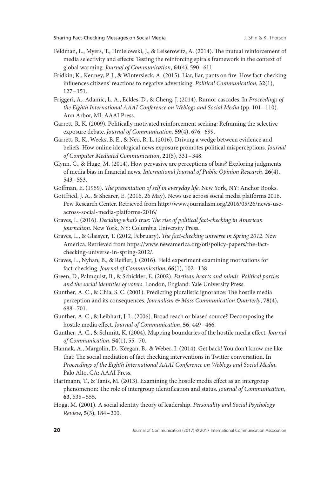- Feldman, L., Myers, T., Hmielowski, J., & Leiserowitz, A. (2014). The mutual reinforcement of media selectivity and effects: Testing the reinforcing spirals framework in the context of global warming. *Journal of Communication*, **64**(4), 590–611.
- Fridkin, K., Kenney, P. J., & Wintersieck, A. (2015). Liar, liar, pants on fire: How fact-checking influences citizens' reactions to negative advertising. *Political Communication*, **32**(1), 127–151.
- Friggeri, A., Adamic, L. A., Eckles, D., & Cheng, J. (2014). Rumor cascades. In *Proceedings of the Eighth International AAAI Conference on Weblogs and Social Media* (pp. 101–110). Ann Arbor, MI: AAAI Press.
- Garrett, R. K. (2009). Politically motivated reinforcement seeking: Reframing the selective exposure debate. *Journal of Communication*, **59**(4), 676–699.
- Garrett, R. K., Weeks, B. E., & Neo, R. L. (2016). Driving a wedge between evidence and beliefs: How online ideological news exposure promotes political misperceptions. *Journal of Computer Mediated Communication*, **21**(5), 331–348.
- Glynn, C., & Huge, M. (2014). How pervasive are perceptions of bias? Exploring judgments of media bias in financial news. *International Journal of Public Opinion Research*, **26**(4), 543–553.
- Goffman, E. (1959). *The presentation of self in everyday life*. New York, NY: Anchor Books.
- Gottfried, J. A., & Shearer, E. (2016, 26 May). News use across social media platforms 2016. Pew Research Center. Retrieved from [http://www.journalism.org/2016/05/26/news-use](http://www.journalism.org/2016/05/26/news-use-across-social-media-platforms-2016/)[across-social-media-platforms-2016/](http://www.journalism.org/2016/05/26/news-use-across-social-media-platforms-2016/)
- Graves, L. (2016). *Deciding what's true: The rise of political fact-checking in American journalism*. New York, NY: Columbia University Press.
- Graves, L., & Glaisyer, T. (2012, February). *The fact-checking universe in Spring 2012*. New America. Retrieved from [https://www.newamerica.org/oti/policy-papers/the-fact](https://www.newamerica.org/oti/policy-papers/the-fact-checking-universe-in-spring-2012/)[checking-universe-in-spring-2012/.](https://www.newamerica.org/oti/policy-papers/the-fact-checking-universe-in-spring-2012/)
- Graves, L., Nyhan, B., & Reifler, J. (2016). Field experiment examining motivations for fact-checking. *Journal of Communication*, **66**(1), 102–138.
- Green, D., Palmquist, B., & Schickler, E. (2002). *Partisan hearts and minds: Political parties and the social identities of voters*. London, England: Yale University Press.
- Gunther, A. C., & Chia, S. C. (2001). Predicting pluralistic ignorance: The hostile media perception and its consequences. *Journalism & Mass Communication Quarterly*, **78**(4), 688–701.
- Gunther, A. C., & Leibhart, J. L. (2006). Broad reach or biased source? Decomposing the hostile media effect. *Journal of Communication*, **56**, 449–466.
- Gunther, A. C., & Schmitt, K. (2004). Mapping boundaries of the hostile media effect. *Journal of Communication*, **54**(1), 55–70.
- Hannak, A., Margolin, D., Keegan, B., & Weber, I. (2014). Get back! You don't know me like that: The social mediation of fact checking interventions in Twitter conversation. In *Proceedings of the Eighth International AAAI Conference on Weblogs and Social Media*. Palo Alto, CA: AAAI Press.
- Hartmann, T., & Tanis, M. (2013). Examining the hostile media effect as an intergroup phenomenon: The role of intergroup identification and status. *Journal of Communication*, **63**, 535–555.
- Hogg, M. (2001). A social identity theory of leadership. *Personality and Social Psychology Review*, **5**(3), 184–200.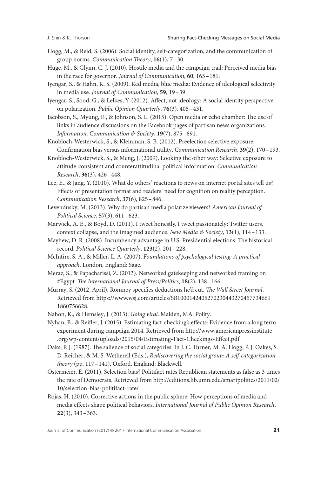- Hogg, M., & Reid, S. (2006). Social identity, self-categorization, and the communication of group norms. *Communication Theory*, **16**(1), 7–30.
- Huge, M., & Glynn, C. J. (2010). Hostile media and the campaign trail: Perceived media bias in the race for governor. *Journal of Communication*, **60**, 165–181.
- Iyengar, S., & Hahn, K. S. (2009). Red media, blue media: Evidence of ideological selectivity in media use. *Journal of Communication*, **59**, 19–39.
- Iyengar, S., Sood, G., & Lelkes, Y. (2012). Affect, not ideology: A social identity perspective on polarization. *Public Opinion Quarterly*, **76**(3), 405–431.
- Jacobson, S., Myung, E., & Johnson, S. L. (2015). Open media or echo chamber: The use of links in audience discussions on the Facebook pages of partisan news organizations. *Information, Communication & Society*, **19**(7), 875–891.
- Knobloch-Westerwick, S., & Kleinman, S. B. (2012). Preelection selective exposure: Confirmation bias versus informational utility. *Communication Research*, **39**(2), 170–193.
- Knobloch-Westerwick, S., & Meng, J. (2009). Looking the other way: Selective exposure to attitude-consistent and counterattitudinal political information. *Communication Research*, **36**(3), 426–448.
- Lee, E., & Jang, Y. (2010). What do others' reactions to news on internet portal sites tell us? Effects of presentation format and readers' need for cognition on reality perception. *Communication Research*, **37**(6), 825–846.
- Levendusky, M. (2013). Why do partisan media polarize viewers? *American Journal of Political Science*, **57**(3), 611–623.
- Marwick, A. E., & Boyd, D. (2011). I tweet honestly, I tweet passionately: Twitter users, context collapse, and the imagined audience. *New Media & Society*, **13**(1), 114–133.
- Mayhew, D. R. (2008). Incumbency advantage in U.S. Presidential elections: The historical record. *Political Science Quarterly*, **123**(2), 201–228.
- McIntire, S. A., & Miller, L. A. (2007). *Foundations of psychological testing: A practical approach*. London, England: Sage.
- Meraz, S., & Papacharissi, Z. (2013). Networked gatekeeping and networked framing on #Egypt. *The International Journal of Press/Politics*, **18**(2), 138–166.
- Murray, S. (2012, April). Romney specifies deductions he'd cut. *The Wall Street Journal*. Retrieved from https://www.wsj.com/articles/SB1000142405270230443270457734661 1860756628.
- Nahon, K., & Hemsley, J. (2013). *Going viral*. Malden, MA: Polity.
- Nyhan, B., & Reifler, J. (2015). Estimating fact-checking's effects: Evidence from a long term experiment during campaign 2014. Retrieved from [http://www.americanpressinstitute](http://www.americanpressinstitute.org/wp-content/uploads/2015/04/Estimating-Fact-Checkings-Effect.pdf) [.org/wp-content/uploads/2015/04/Estimating-Fact-Checkings-Effect.pdf](http://www.americanpressinstitute.org/wp-content/uploads/2015/04/Estimating-Fact-Checkings-Effect.pdf)
- Oaks, P. J. (1987). The salience of social categories. In J. C. Turner, M. A. Hogg, P. J. Oakes, S. D. Reicher, & M. S. Wetherell (Eds.), *Rediscovering the social group: A self-categorization theory* (pp. 117–141). Oxford, England: Blackwell.
- Ostermeier, E. (2011). Selection bias? Politifact rates Republican statements as false as 3 times the rate of Democrats. Retrieved from [http://editions.lib.umn.edu/smartpolitics/2011/02/](http://editions.lib.umn.edu/smartpolitics/2011/02/10/selection-bias-politifact-rate/) [10/selection-bias-politifact-rate/](http://editions.lib.umn.edu/smartpolitics/2011/02/10/selection-bias-politifact-rate/)
- Rojas, H. (2010). Corrective actions in the public sphere: How perceptions of media and media effects shape political behaviors. *International Journal of Public Opinion Research*, **22**(3), 343–363.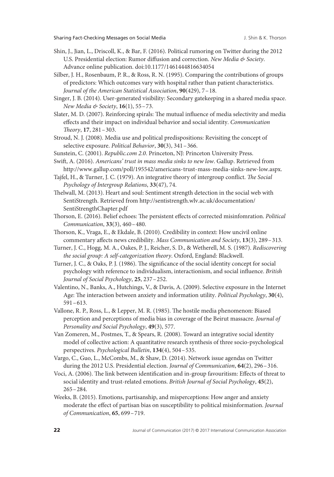- Shin, J., Jian, L., Driscoll, K., & Bar, F. (2016). Political rumoring on Twitter during the 2012 U.S. Presidential election: Rumor diffusion and correction. *New Media & Society*. Advance online publication. doi:10.1177/1461444816634054
- Silber, J. H., Rosenbaum, P. R., & Ross, R. N. (1995). Comparing the contributions of groups of predictors: Which outcomes vary with hospital rather than patient characteristics. *Journal of the American Statistical Association*, **90**(429), 7–18.
- Singer, J. B. (2014). User-generated visibility: Secondary gatekeeping in a shared media space. *New Media & Society*, **16**(1), 55–73.
- Slater, M. D. (2007). Reinforcing spirals: The mutual influence of media selectivity and media effects and their impact on individual behavior and social identity. *Communication Theory*, **17**, 281–303.
- Stroud, N. J. (2008). Media use and political predispositions: Revisiting the concept of selective exposure. *Political Behavior*, **30**(3), 341–366.
- Sunstein, C. (2001). *Republic.com 2.0*. Princeton, NJ: Princeton University Press.
- Swift, A. (2016). *Americans' trust in mass media sinks to new low*. Gallup. Retrieved from [http://www.gallup.com/poll/195542/americans-trust-mass-media-sinks-new-low.aspx.](http://www.gallup.com/poll/195542/americans-trust-mass-media-sinks-new-low.aspx)
- Tajfel, H., & Turner, J. C. (1979). An integrative theory of intergroup conflict. *The Social Psychology of Intergroup Relations*, **33**(47), 74.
- Thelwall, M. (2013). Heart and soul: Sentiment strength detection in the social web with SentiStrength. Retrieved from [http://sentistrength.wlv.ac.uk/documentation/](http://sentistrength.wlv.ac.uk/documentation/SentiStrengthChapter.pdf) [SentiStrengthChapter.pdf](http://sentistrength.wlv.ac.uk/documentation/SentiStrengthChapter.pdf)
- Thorson, E. (2016). Belief echoes: The persistent effects of corrected misinfomration. *Political Communication*, **33**(3), 460–480.
- Thorson, K., Vraga, E., & Ekdale, B. (2010). Credibility in context: How uncivil online commentary affects news credibility. *Mass Communication and Society*, **13**(3), 289–313.
- Turner, J. C., Hogg, M. A., Oakes, P. J., Reicher, S. D., & Wetherell, M. S. (1987). *Rediscovering the social group: A self-categorization theory*. Oxford, England: Blackwell.
- Turner, J. C., & Oaks, P. J. (1986). The significance of the social identity concept for social psychology with reference to individualism, interactionism, and social influence. *British Journal of Social Psychology*, **25**, 237–252.
- Valentino, N., Banks, A., Hutchings, V., & Davis, A. (2009). Selective exposure in the Internet Age: The interaction between anxiety and information utility. *Political Psychology*, **30**(4), 591–613.
- Vallone, R. P., Ross, L., & Lepper, M. R. (1985). The hostile media phenomenon: Biased perception and perceptions of media bias in coverage of the Beirut massacre. *Journal of Personality and Social Psychology*, **49**(3), 577.
- Van Zomeren, M., Postmes, T., & Spears, R. (2008). Toward an integrative social identity model of collective action: A quantitative research synthesis of three socio-psychological perspectives. *Psychological Bulletin*, **134**(4), 504–535.
- Vargo, C., Guo, L., McCombs, M., & Shaw, D. (2014). Network issue agendas on Twitter during the 2012 U.S. Presidential election. *Journal of Communication*, **64**(2), 296–316.
- Voci, A. (2006). The link between identification and in-group favouritism: Effects of threat to social identity and trust-related emotions. *British Journal of Social Psychology*, **45**(2), 265–284.
- Weeks, B. (2015). Emotions, partisanship, and misperceptions: How anger and anxiety moderate the effect of partisan bias on susceptibility to political misinformation. *Journal of Communication*, **65**, 699–719.